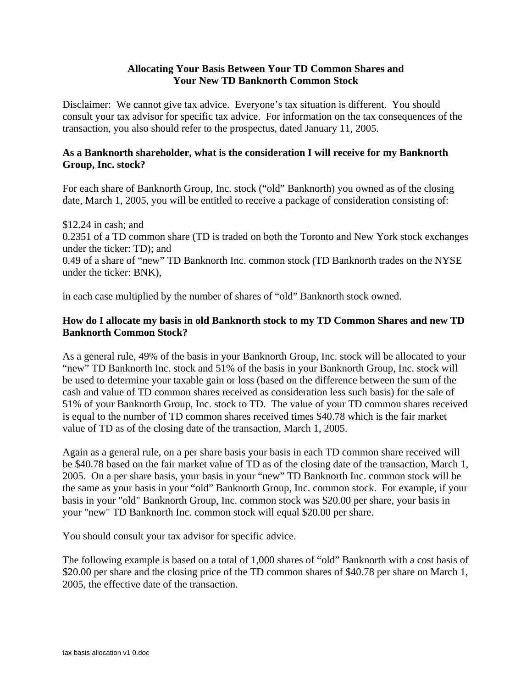## **Allocating Your Basis Between Your TD Common Shares and Your New TD Banknorth Common Stock**

Disclaimer: We cannot give tax advice. Everyone's tax situation is different. You should consult your tax advisor for specific tax advice. For information on the tax consequences of the transaction, you also should refer to the prospectus, dated January 11, 2005.

## **As a Banknorth shareholder, what is the consideration I will receive for my Banknorth Group, Inc. stock?**

For each share of Banknorth Group, Inc. stock ("old" Banknorth) you owned as of the closing date, March 1, 2005, you will be entitled to receive a package of consideration consisting of:

\$12.24 in cash; and 0.2351 of a TD common share (TD is traded on both the Toronto and New York stock exchanges under the ticker: TD); and 0.49 of a share of "new" TD Banknorth Inc. common stock (TD Banknorth trades on the NYSE under the ticker: BNK),

in each case multiplied by the number of shares of "old" Banknorth stock owned.

## **How do I allocate my basis in old Banknorth stock to my TD Common Shares and new TD Banknorth Common Stock?**

As a general rule, 49% of the basis in your Banknorth Group, Inc. stock will be allocated to your "new" TD Banknorth Inc. stock and 51% of the basis in your Banknorth Group, Inc. stock will be used to determine your taxable gain or loss (based on the difference between the sum of the cash and value of TD common shares received as consideration less such basis) for the sale of 51% of your Banknorth Group, Inc. stock to TD. The value of your TD common shares received is equal to the number of TD common shares received times \$40.78 which is the fair market value of TD as of the closing date of the transaction, March 1, 2005.

Again as a general rule, on a per share basis your basis in each TD common share received will be \$40.78 based on the fair market value of TD as of the closing date of the transaction, March 1, 2005. On a per share basis, your basis in your "new" TD Banknorth Inc. common stock will be the same as your basis in your "old" Banknorth Group, Inc. common stock. For example, if your basis in your "old" Banknorth Group, Inc. common stock was \$20.00 per share, your basis in your "new" TD Banknorth Inc. common stock will equal \$20.00 per share.

You should consult your tax advisor for specific advice.

The following example is based on a total of 1,000 shares of "old" Banknorth with a cost basis of \$20.00 per share and the closing price of the TD common shares of \$40.78 per share on March 1, 2005, the effective date of the transaction.